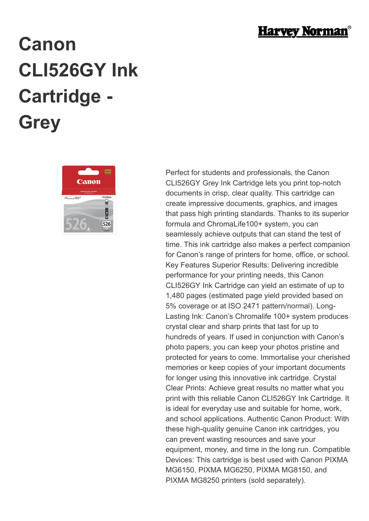

## **Canon CLI526GY Ink Cartridge - Grey**



Perfect for students and professionals, the Canon CLI526GY Grey Ink Cartridge lets you print top-notch documents in crisp, clear quality. This cartridge can create impressive documents, graphics, and images that pass high printing standards. Thanks to its superior formula and ChromaLife100+ system, you can seamlessly achieve outputs that can stand the test of time. This ink cartridge also makes a perfect companion for Canon's range of printers for home, office, or school. Key Features Superior Results: Delivering incredible performance for your printing needs, this Canon CLI526GY Ink Cartridge can yield an estimate of up to 1,480 pages (estimated page yield provided based on 5% coverage or at ISO 2471 pattern/normal). Long-Lasting Ink: Canon's Chromalife 100+ system produces crystal clear and sharp prints that last for up to hundreds of years. If used in conjunction with Canon's photo papers, you can keep your photos pristine and protected for years to come. Immortalise your cherished memories or keep copies of your important documents for longer using this innovative ink cartridge. Crystal Clear Prints: Achieve great results no matter what you print with this reliable Canon CLI526GY Ink Cartridge. It is ideal for everyday use and suitable for home, work, and school applications. Authentic Canon Product: With these high-quality genuine Canon ink cartridges, you can prevent wasting resources and save your equipment, money, and time in the long run. Compatible Devices: This cartridge is best used with Canon PIXMA MG6150, PIXMA MG6250, PIXMA MG8150, and PIXMA MG8250 printers (sold separately).